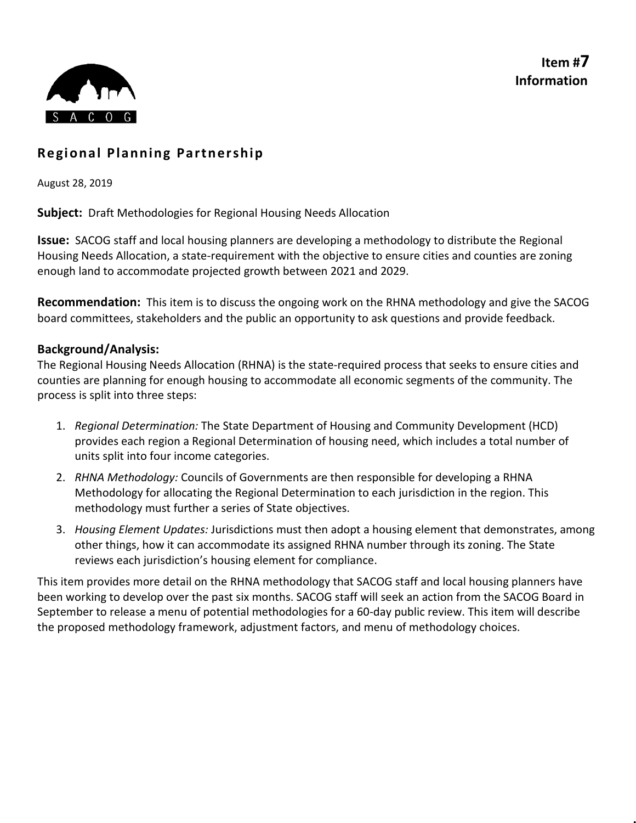**Item #7 Information**



# **Regional Planning Partnership**

August 28, 2019

**Subject:** Draft Methodologies for Regional Housing Needs Allocation

**Issue:** SACOG staff and local housing planners are developing a methodology to distribute the Regional Housing Needs Allocation, a state-requirement with the objective to ensure cities and counties are zoning enough land to accommodate projected growth between 2021 and 2029.

**Recommendation:** This item is to discuss the ongoing work on the RHNA methodology and give the SACOG board committees, stakeholders and the public an opportunity to ask questions and provide feedback.

## **Background/Analysis:**

The Regional Housing Needs Allocation (RHNA) is the state-required process that seeks to ensure cities and counties are planning for enough housing to accommodate all economic segments of the community. The process is split into three steps:

- 1. *Regional Determination:* The State Department of Housing and Community Development (HCD) provides each region a Regional Determination of housing need, which includes a total number of units split into four income categories.
- 2. *RHNA Methodology:* Councils of Governments are then responsible for developing a RHNA Methodology for allocating the Regional Determination to each jurisdiction in the region. This methodology must further a series of State objectives.
- 3. *Housing Element Updates:* Jurisdictions must then adopt a housing element that demonstrates, among other things, how it can accommodate its assigned RHNA number through its zoning. The State reviews each jurisdiction's housing element for compliance.

This item provides more detail on the RHNA methodology that SACOG staff and local housing planners have been working to develop over the past six months. SACOG staff will seek an action from the SACOG Board in September to release a menu of potential methodologies for a 60-day public review. This item will describe the proposed methodology framework, adjustment factors, and menu of methodology choices.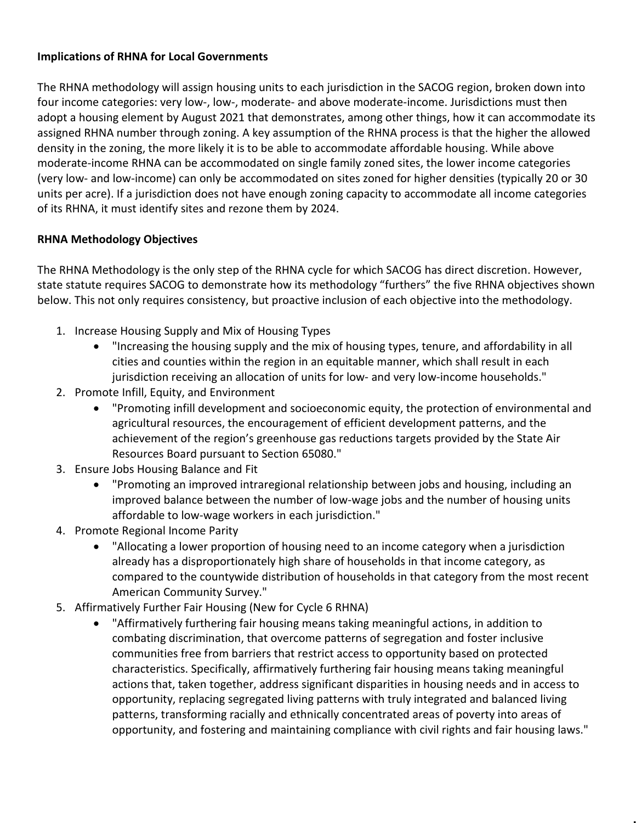## **Implications of RHNA for Local Governments**

The RHNA methodology will assign housing units to each jurisdiction in the SACOG region, broken down into four income categories: very low-, low-, moderate- and above moderate-income. Jurisdictions must then adopt a housing element by August 2021 that demonstrates, among other things, how it can accommodate its assigned RHNA number through zoning. A key assumption of the RHNA process is that the higher the allowed density in the zoning, the more likely it is to be able to accommodate affordable housing. While above moderate-income RHNA can be accommodated on single family zoned sites, the lower income categories (very low- and low-income) can only be accommodated on sites zoned for higher densities (typically 20 or 30 units per acre). If a jurisdiction does not have enough zoning capacity to accommodate all income categories of its RHNA, it must identify sites and rezone them by 2024.

# **RHNA Methodology Objectives**

The RHNA Methodology is the only step of the RHNA cycle for which SACOG has direct discretion. However, state statute requires SACOG to demonstrate how its methodology "furthers" the five RHNA objectives shown below. This not only requires consistency, but proactive inclusion of each objective into the methodology.

- 1. Increase Housing Supply and Mix of Housing Types
	- "Increasing the housing supply and the mix of housing types, tenure, and affordability in all cities and counties within the region in an equitable manner, which shall result in each jurisdiction receiving an allocation of units for low- and very low-income households."
- 2. Promote Infill, Equity, and Environment
	- "Promoting infill development and socioeconomic equity, the protection of environmental and agricultural resources, the encouragement of efficient development patterns, and the achievement of the region's greenhouse gas reductions targets provided by the State Air Resources Board pursuant to Section 65080."
- 3. Ensure Jobs Housing Balance and Fit
	- "Promoting an improved intraregional relationship between jobs and housing, including an improved balance between the number of low-wage jobs and the number of housing units affordable to low-wage workers in each jurisdiction."
- 4. Promote Regional Income Parity
	- "Allocating a lower proportion of housing need to an income category when a jurisdiction already has a disproportionately high share of households in that income category, as compared to the countywide distribution of households in that category from the most recent American Community Survey."
- 5. Affirmatively Further Fair Housing (New for Cycle 6 RHNA)
	- "Affirmatively furthering fair housing means taking meaningful actions, in addition to combating discrimination, that overcome patterns of segregation and foster inclusive communities free from barriers that restrict access to opportunity based on protected characteristics. Specifically, affirmatively furthering fair housing means taking meaningful actions that, taken together, address significant disparities in housing needs and in access to opportunity, replacing segregated living patterns with truly integrated and balanced living patterns, transforming racially and ethnically concentrated areas of poverty into areas of opportunity, and fostering and maintaining compliance with civil rights and fair housing laws."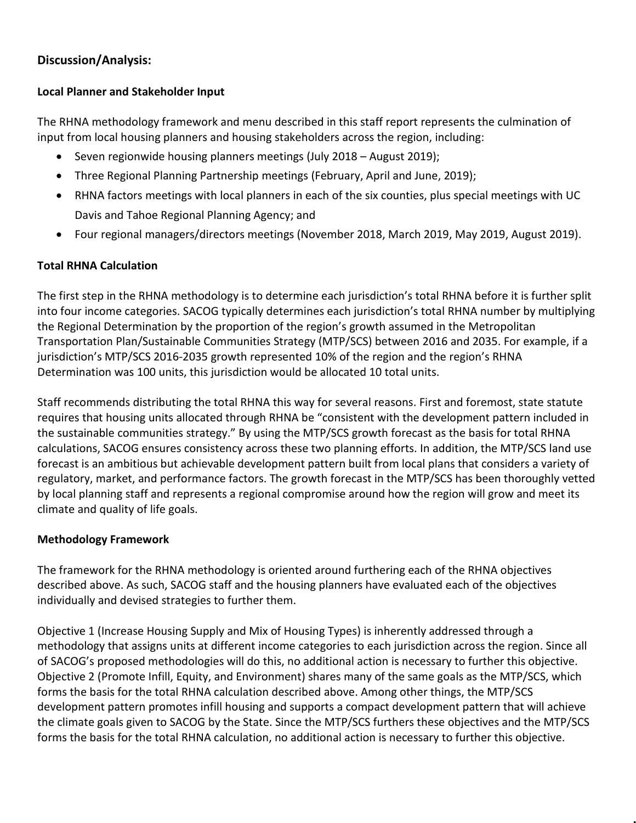# **Discussion/Analysis:**

## **Local Planner and Stakeholder Input**

The RHNA methodology framework and menu described in this staff report represents the culmination of input from local housing planners and housing stakeholders across the region, including:

- Seven regionwide housing planners meetings (July 2018 August 2019);
- Three Regional Planning Partnership meetings (February, April and June, 2019);
- RHNA factors meetings with local planners in each of the six counties, plus special meetings with UC Davis and Tahoe Regional Planning Agency; and
- Four regional managers/directors meetings (November 2018, March 2019, May 2019, August 2019).

## **Total RHNA Calculation**

The first step in the RHNA methodology is to determine each jurisdiction's total RHNA before it is further split into four income categories. SACOG typically determines each jurisdiction's total RHNA number by multiplying the Regional Determination by the proportion of the region's growth assumed in the Metropolitan Transportation Plan/Sustainable Communities Strategy (MTP/SCS) between 2016 and 2035. For example, if a jurisdiction's MTP/SCS 2016-2035 growth represented 10% of the region and the region's RHNA Determination was 100 units, this jurisdiction would be allocated 10 total units.

Staff recommends distributing the total RHNA this way for several reasons. First and foremost, state statute requires that housing units allocated through RHNA be "consistent with the development pattern included in the sustainable communities strategy." By using the MTP/SCS growth forecast as the basis for total RHNA calculations, SACOG ensures consistency across these two planning efforts. In addition, the MTP/SCS land use forecast is an ambitious but achievable development pattern built from local plans that considers a variety of regulatory, market, and performance factors. The growth forecast in the MTP/SCS has been thoroughly vetted by local planning staff and represents a regional compromise around how the region will grow and meet its climate and quality of life goals.

## **Methodology Framework**

The framework for the RHNA methodology is oriented around furthering each of the RHNA objectives described above. As such, SACOG staff and the housing planners have evaluated each of the objectives individually and devised strategies to further them.

Objective 1 (Increase Housing Supply and Mix of Housing Types) is inherently addressed through a methodology that assigns units at different income categories to each jurisdiction across the region. Since all of SACOG's proposed methodologies will do this, no additional action is necessary to further this objective. Objective 2 (Promote Infill, Equity, and Environment) shares many of the same goals as the MTP/SCS, which forms the basis for the total RHNA calculation described above. Among other things, the MTP/SCS development pattern promotes infill housing and supports a compact development pattern that will achieve the climate goals given to SACOG by the State. Since the MTP/SCS furthers these objectives and the MTP/SCS forms the basis for the total RHNA calculation, no additional action is necessary to further this objective.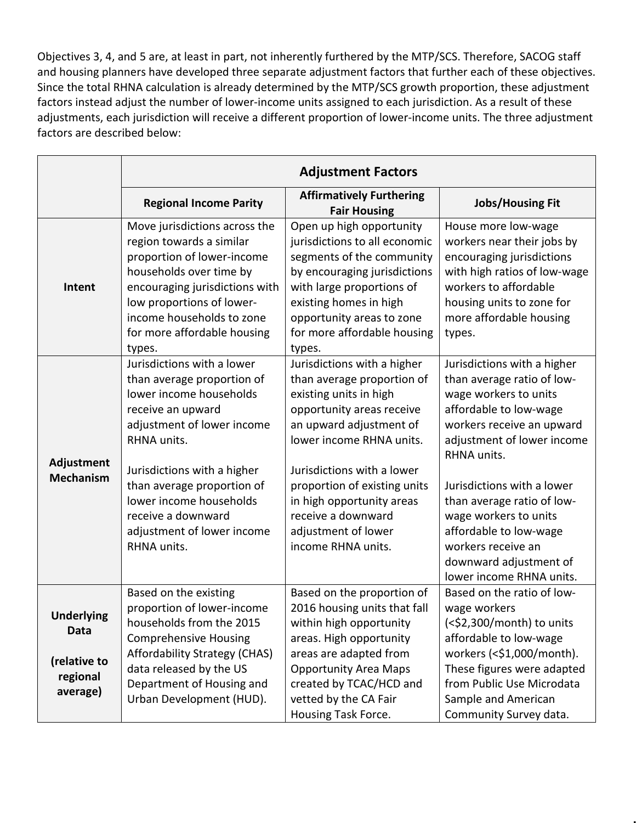Objectives 3, 4, and 5 are, at least in part, not inherently furthered by the MTP/SCS. Therefore, SACOG staff and housing planners have developed three separate adjustment factors that further each of these objectives. Since the total RHNA calculation is already determined by the MTP/SCS growth proportion, these adjustment factors instead adjust the number of lower-income units assigned to each jurisdiction. As a result of these adjustments, each jurisdiction will receive a different proportion of lower-income units. The three adjustment factors are described below:

|                                                                   | <b>Adjustment Factors</b>                                                                                                                                                                                                                                                                                        |                                                                                                                                                                                                                                                                                                                                       |                                                                                                                                                                                                                                                                                                                                                                                   |  |  |  |  |  |
|-------------------------------------------------------------------|------------------------------------------------------------------------------------------------------------------------------------------------------------------------------------------------------------------------------------------------------------------------------------------------------------------|---------------------------------------------------------------------------------------------------------------------------------------------------------------------------------------------------------------------------------------------------------------------------------------------------------------------------------------|-----------------------------------------------------------------------------------------------------------------------------------------------------------------------------------------------------------------------------------------------------------------------------------------------------------------------------------------------------------------------------------|--|--|--|--|--|
|                                                                   | <b>Regional Income Parity</b>                                                                                                                                                                                                                                                                                    | <b>Affirmatively Furthering</b><br><b>Fair Housing</b>                                                                                                                                                                                                                                                                                | <b>Jobs/Housing Fit</b>                                                                                                                                                                                                                                                                                                                                                           |  |  |  |  |  |
| Intent                                                            | Move jurisdictions across the<br>region towards a similar<br>proportion of lower-income<br>households over time by<br>encouraging jurisdictions with<br>low proportions of lower-<br>income households to zone<br>for more affordable housing<br>types.                                                          | Open up high opportunity<br>jurisdictions to all economic<br>segments of the community<br>by encouraging jurisdictions<br>with large proportions of<br>existing homes in high<br>opportunity areas to zone<br>for more affordable housing<br>types.                                                                                   | House more low-wage<br>workers near their jobs by<br>encouraging jurisdictions<br>with high ratios of low-wage<br>workers to affordable<br>housing units to zone for<br>more affordable housing<br>types.                                                                                                                                                                         |  |  |  |  |  |
| Adjustment<br><b>Mechanism</b>                                    | Jurisdictions with a lower<br>than average proportion of<br>lower income households<br>receive an upward<br>adjustment of lower income<br>RHNA units.<br>Jurisdictions with a higher<br>than average proportion of<br>lower income households<br>receive a downward<br>adjustment of lower income<br>RHNA units. | Jurisdictions with a higher<br>than average proportion of<br>existing units in high<br>opportunity areas receive<br>an upward adjustment of<br>lower income RHNA units.<br>Jurisdictions with a lower<br>proportion of existing units<br>in high opportunity areas<br>receive a downward<br>adjustment of lower<br>income RHNA units. | Jurisdictions with a higher<br>than average ratio of low-<br>wage workers to units<br>affordable to low-wage<br>workers receive an upward<br>adjustment of lower income<br>RHNA units.<br>Jurisdictions with a lower<br>than average ratio of low-<br>wage workers to units<br>affordable to low-wage<br>workers receive an<br>downward adjustment of<br>lower income RHNA units. |  |  |  |  |  |
| <b>Underlying</b><br>Data<br>(relative to<br>regional<br>average) | Based on the existing<br>proportion of lower-income<br>households from the 2015<br><b>Comprehensive Housing</b><br>Affordability Strategy (CHAS)<br>data released by the US<br>Department of Housing and<br>Urban Development (HUD).                                                                             | Based on the proportion of<br>2016 housing units that fall<br>within high opportunity<br>areas. High opportunity<br>areas are adapted from<br><b>Opportunity Area Maps</b><br>created by TCAC/HCD and<br>vetted by the CA Fair<br>Housing Task Force.                                                                                 | Based on the ratio of low-<br>wage workers<br>(<\$2,300/month) to units<br>affordable to low-wage<br>workers (<\$1,000/month).<br>These figures were adapted<br>from Public Use Microdata<br>Sample and American<br>Community Survey data.                                                                                                                                        |  |  |  |  |  |